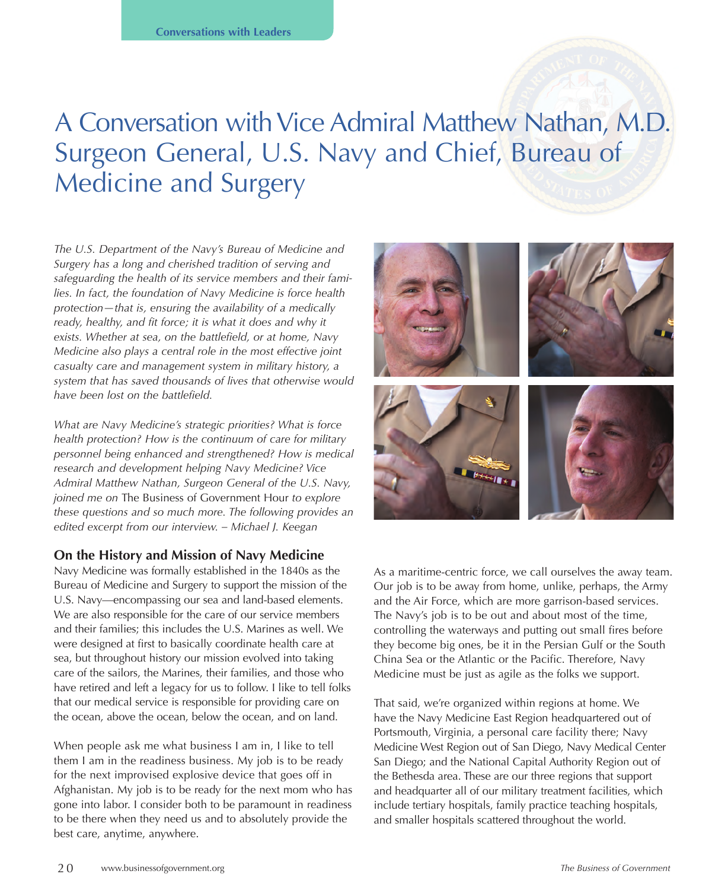# A Conversation with Vice Admiral Matthew Nathan, M.D. Surgeon General, U.S. Navy and Chief, Bureau of Medicine and Surgery

*The U.S. Department of the Navy's Bureau of Medicine and Surgery has a long and cherished tradition of serving and safeguarding the health of its service members and their families. In fact, the foundation of Navy Medicine is force health protection—that is, ensuring the availability of a medically ready, healthy, and fit force; it is what it does and why it exists. Whether at sea, on the battlefield, or at home, Navy Medicine also plays a central role in the most effective joint casualty care and management system in military history, a system that has saved thousands of lives that otherwise would have been lost on the battlefield.* 

*What are Navy Medicine's strategic priorities? What is force health protection? How is the continuum of care for military personnel being enhanced and strengthened? How is medical research and development helping Navy Medicine? Vice Admiral Matthew Nathan, Surgeon General of the U.S. Navy, joined me on* The Business of Government Hour *to explore these questions and so much more. The following provides an edited excerpt from our interview. – Michael J. Keegan*

## **On the History and Mission of Navy Medicine**

Navy Medicine was formally established in the 1840s as the Bureau of Medicine and Surgery to support the mission of the U.S. Navy—encompassing our sea and land-based elements. We are also responsible for the care of our service members and their families; this includes the U.S. Marines as well. We were designed at first to basically coordinate health care at sea, but throughout history our mission evolved into taking care of the sailors, the Marines, their families, and those who have retired and left a legacy for us to follow. I like to tell folks that our medical service is responsible for providing care on the ocean, above the ocean, below the ocean, and on land.

When people ask me what business I am in, I like to tell them I am in the readiness business. My job is to be ready for the next improvised explosive device that goes off in Afghanistan. My job is to be ready for the next mom who has gone into labor. I consider both to be paramount in readiness to be there when they need us and to absolutely provide the best care, anytime, anywhere.



As a maritime-centric force, we call ourselves the away team. Our job is to be away from home, unlike, perhaps, the Army and the Air Force, which are more garrison-based services. The Navy's job is to be out and about most of the time, controlling the waterways and putting out small fires before they become big ones, be it in the Persian Gulf or the South China Sea or the Atlantic or the Pacific. Therefore, Navy Medicine must be just as agile as the folks we support.

That said, we're organized within regions at home. We have the Navy Medicine East Region headquartered out of Portsmouth, Virginia, a personal care facility there; Navy Medicine West Region out of San Diego, Navy Medical Center San Diego; and the National Capital Authority Region out of the Bethesda area. These are our three regions that support and headquarter all of our military treatment facilities, which include tertiary hospitals, family practice teaching hospitals, and smaller hospitals scattered throughout the world.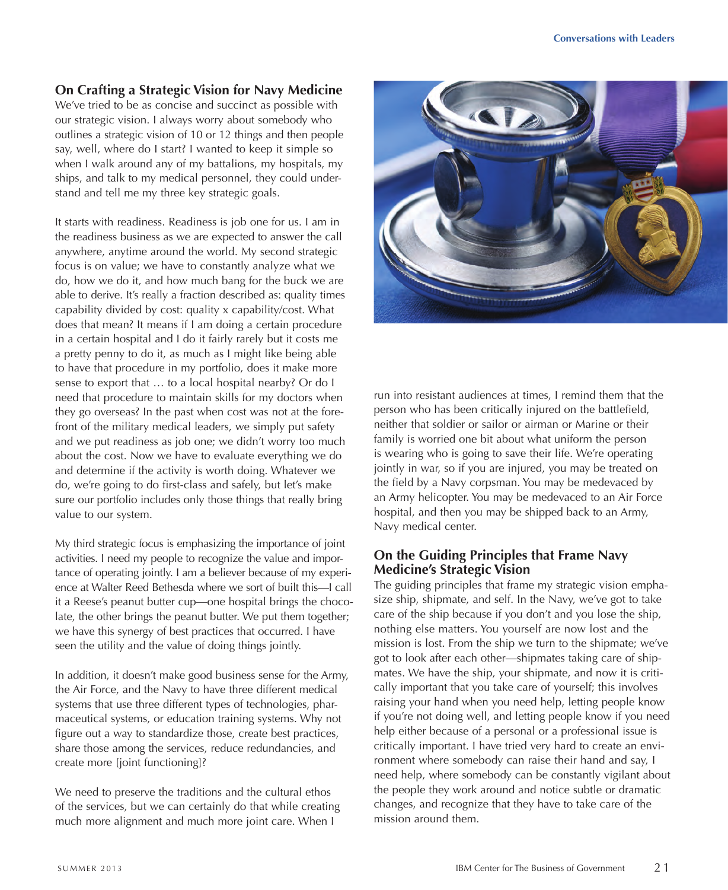## **On Crafting a Strategic Vision for Navy Medicine**

We've tried to be as concise and succinct as possible with our strategic vision. I always worry about somebody who outlines a strategic vision of 10 or 12 things and then people say, well, where do I start? I wanted to keep it simple so when I walk around any of my battalions, my hospitals, my ships, and talk to my medical personnel, they could understand and tell me my three key strategic goals.

It starts with readiness. Readiness is job one for us. I am in the readiness business as we are expected to answer the call anywhere, anytime around the world. My second strategic focus is on value; we have to constantly analyze what we do, how we do it, and how much bang for the buck we are able to derive. It's really a fraction described as: quality times capability divided by cost: quality x capability/cost. What does that mean? It means if I am doing a certain procedure in a certain hospital and I do it fairly rarely but it costs me a pretty penny to do it, as much as I might like being able to have that procedure in my portfolio, does it make more sense to export that … to a local hospital nearby? Or do I need that procedure to maintain skills for my doctors when they go overseas? In the past when cost was not at the forefront of the military medical leaders, we simply put safety and we put readiness as job one; we didn't worry too much about the cost. Now we have to evaluate everything we do and determine if the activity is worth doing. Whatever we do, we're going to do first-class and safely, but let's make sure our portfolio includes only those things that really bring value to our system.

My third strategic focus is emphasizing the importance of joint activities. I need my people to recognize the value and importance of operating jointly. I am a believer because of my experience at Walter Reed Bethesda where we sort of built this—I call it a Reese's peanut butter cup—one hospital brings the chocolate, the other brings the peanut butter. We put them together; we have this synergy of best practices that occurred. I have seen the utility and the value of doing things jointly.

In addition, it doesn't make good business sense for the Army, the Air Force, and the Navy to have three different medical systems that use three different types of technologies, pharmaceutical systems, or education training systems. Why not figure out a way to standardize those, create best practices, share those among the services, reduce redundancies, and create more [joint functioning]?

We need to preserve the traditions and the cultural ethos of the services, but we can certainly do that while creating much more alignment and much more joint care. When I



run into resistant audiences at times, I remind them that the person who has been critically injured on the battlefield, neither that soldier or sailor or airman or Marine or their family is worried one bit about what uniform the person is wearing who is going to save their life. We're operating jointly in war, so if you are injured, you may be treated on the field by a Navy corpsman. You may be medevaced by an Army helicopter. You may be medevaced to an Air Force hospital, and then you may be shipped back to an Army, Navy medical center.

## **On the Guiding Principles that Frame Navy Medicine's Strategic Vision**

The guiding principles that frame my strategic vision emphasize ship, shipmate, and self. In the Navy, we've got to take care of the ship because if you don't and you lose the ship, nothing else matters. You yourself are now lost and the mission is lost. From the ship we turn to the shipmate; we've got to look after each other—shipmates taking care of shipmates. We have the ship, your shipmate, and now it is critically important that you take care of yourself; this involves raising your hand when you need help, letting people know if you're not doing well, and letting people know if you need help either because of a personal or a professional issue is critically important. I have tried very hard to create an environment where somebody can raise their hand and say, I need help, where somebody can be constantly vigilant about the people they work around and notice subtle or dramatic changes, and recognize that they have to take care of the mission around them.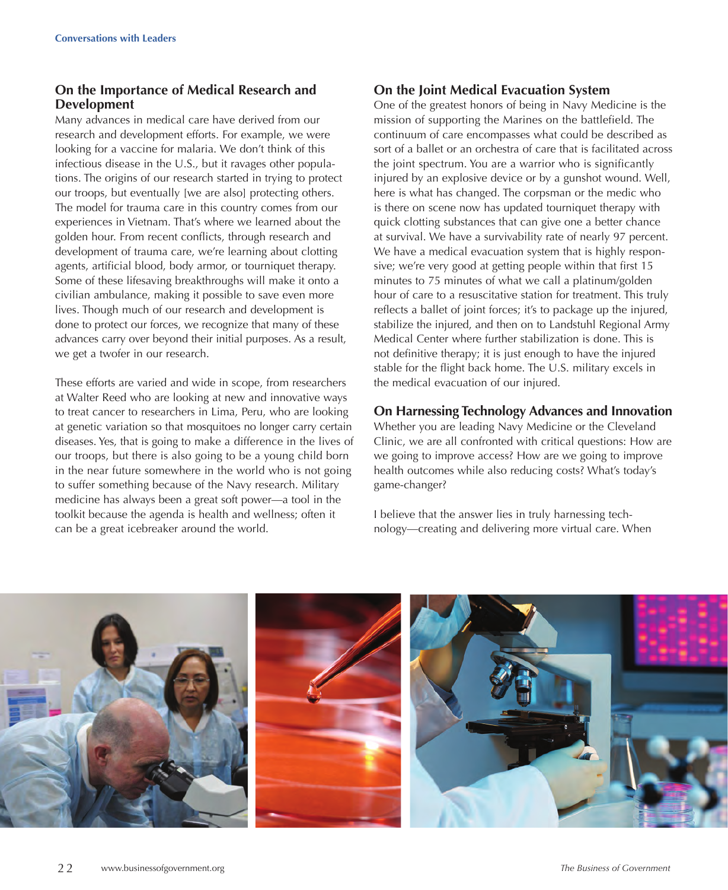## **On the Importance of Medical Research and Development**

Many advances in medical care have derived from our research and development efforts. For example, we were looking for a vaccine for malaria. We don't think of this infectious disease in the U.S., but it ravages other populations. The origins of our research started in trying to protect our troops, but eventually [we are also] protecting others. The model for trauma care in this country comes from our experiences in Vietnam. That's where we learned about the golden hour. From recent conflicts, through research and development of trauma care, we're learning about clotting agents, artificial blood, body armor, or tourniquet therapy. Some of these lifesaving breakthroughs will make it onto a civilian ambulance, making it possible to save even more lives. Though much of our research and development is done to protect our forces, we recognize that many of these advances carry over beyond their initial purposes. As a result, we get a twofer in our research.

These efforts are varied and wide in scope, from researchers at Walter Reed who are looking at new and innovative ways to treat cancer to researchers in Lima, Peru, who are looking at genetic variation so that mosquitoes no longer carry certain diseases. Yes, that is going to make a difference in the lives of our troops, but there is also going to be a young child born in the near future somewhere in the world who is not going to suffer something because of the Navy research. Military medicine has always been a great soft power—a tool in the toolkit because the agenda is health and wellness; often it can be a great icebreaker around the world.

#### **On the Joint Medical Evacuation System**

One of the greatest honors of being in Navy Medicine is the mission of supporting the Marines on the battlefield. The continuum of care encompasses what could be described as sort of a ballet or an orchestra of care that is facilitated across the joint spectrum. You are a warrior who is significantly injured by an explosive device or by a gunshot wound. Well, here is what has changed. The corpsman or the medic who is there on scene now has updated tourniquet therapy with quick clotting substances that can give one a better chance at survival. We have a survivability rate of nearly 97 percent. We have a medical evacuation system that is highly responsive; we're very good at getting people within that first 15 minutes to 75 minutes of what we call a platinum/golden hour of care to a resuscitative station for treatment. This truly reflects a ballet of joint forces; it's to package up the injured, stabilize the injured, and then on to Landstuhl Regional Army Medical Center where further stabilization is done. This is not definitive therapy; it is just enough to have the injured stable for the flight back home. The U.S. military excels in the medical evacuation of our injured.

## **On Harnessing Technology Advances and Innovation**

Whether you are leading Navy Medicine or the Cleveland Clinic, we are all confronted with critical questions: How are we going to improve access? How are we going to improve health outcomes while also reducing costs? What's today's game-changer?

I believe that the answer lies in truly harnessing technology—creating and delivering more virtual care. When

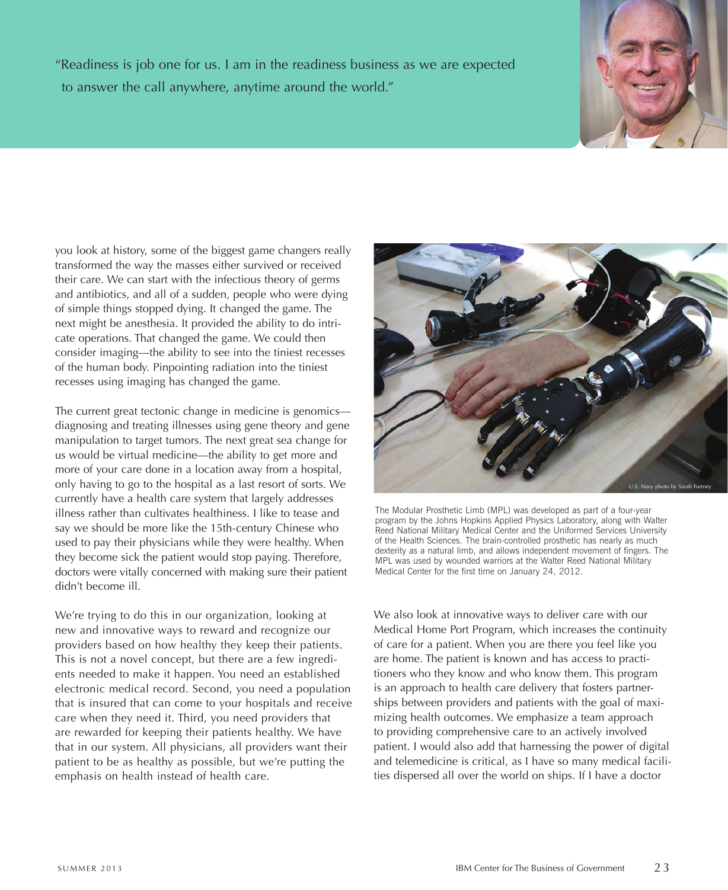"Readiness is job one for us. I am in the readiness business as we are expected to answer the call anywhere, anytime around the world."



you look at history, some of the biggest game changers really transformed the way the masses either survived or received their care. We can start with the infectious theory of germs and antibiotics, and all of a sudden, people who were dying of simple things stopped dying. It changed the game. The next might be anesthesia. It provided the ability to do intricate operations. That changed the game. We could then consider imaging—the ability to see into the tiniest recesses of the human body. Pinpointing radiation into the tiniest recesses using imaging has changed the game.

The current great tectonic change in medicine is genomics diagnosing and treating illnesses using gene theory and gene manipulation to target tumors. The next great sea change for us would be virtual medicine—the ability to get more and more of your care done in a location away from a hospital, only having to go to the hospital as a last resort of sorts. We currently have a health care system that largely addresses illness rather than cultivates healthiness. I like to tease and say we should be more like the 15th-century Chinese who used to pay their physicians while they were healthy. When they become sick the patient would stop paying. Therefore, doctors were vitally concerned with making sure their patient didn't become ill.

We're trying to do this in our organization, looking at new and innovative ways to reward and recognize our providers based on how healthy they keep their patients. This is not a novel concept, but there are a few ingredients needed to make it happen. You need an established electronic medical record. Second, you need a population that is insured that can come to your hospitals and receive care when they need it. Third, you need providers that are rewarded for keeping their patients healthy. We have that in our system. All physicians, all providers want their patient to be as healthy as possible, but we're putting the emphasis on health instead of health care.



The Modular Prosthetic Limb (MPL) was developed as part of a four-year program by the Johns Hopkins Applied Physics Laboratory, along with Walter Reed National Military Medical Center and the Uniformed Services University of the Health Sciences. The brain-controlled prosthetic has nearly as much dexterity as a natural limb, and allows independent movement of fingers. The MPL was used by wounded warriors at the Walter Reed National Military Medical Center for the first time on January 24, 2012.

We also look at innovative ways to deliver care with our Medical Home Port Program, which increases the continuity of care for a patient. When you are there you feel like you are home. The patient is known and has access to practitioners who they know and who know them. This program is an approach to health care delivery that fosters partnerships between providers and patients with the goal of maximizing health outcomes. We emphasize a team approach to providing comprehensive care to an actively involved patient. I would also add that harnessing the power of digital and telemedicine is critical, as I have so many medical facilities dispersed all over the world on ships. If I have a doctor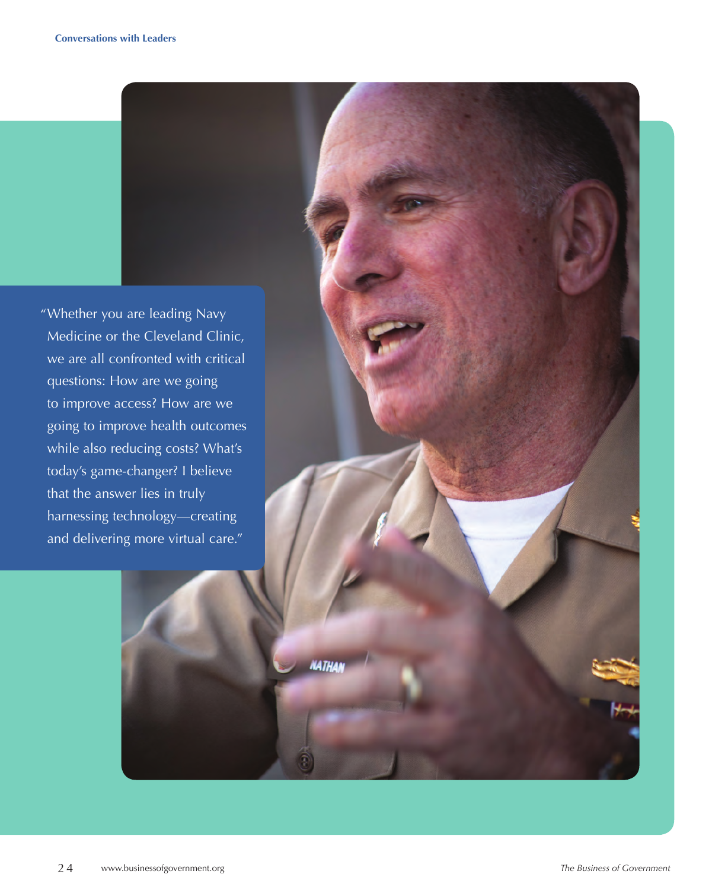"Whether you are leading Navy Medicine or the Cleveland Clinic, we are all confronted with critical questions: How are we going to improve access? How are we going to improve health outcomes while also reducing costs? What's today's game-changer? I believe that the answer lies in truly harnessing technology—creating and delivering more virtual care."

**NATHAN** 

To hear *The Business of Government Hour's* interview with Danny Werfel, go to the Center's website at www.businesso. We have

go to www.whitehouse.gov.

To download the show as a positive or MP3 player, as a positive or MP3 player, as a positive or MP3 player, as from the Center's website at www.businessofgovernment.org, right click on an audio segment, select Save Target As, and save the file.